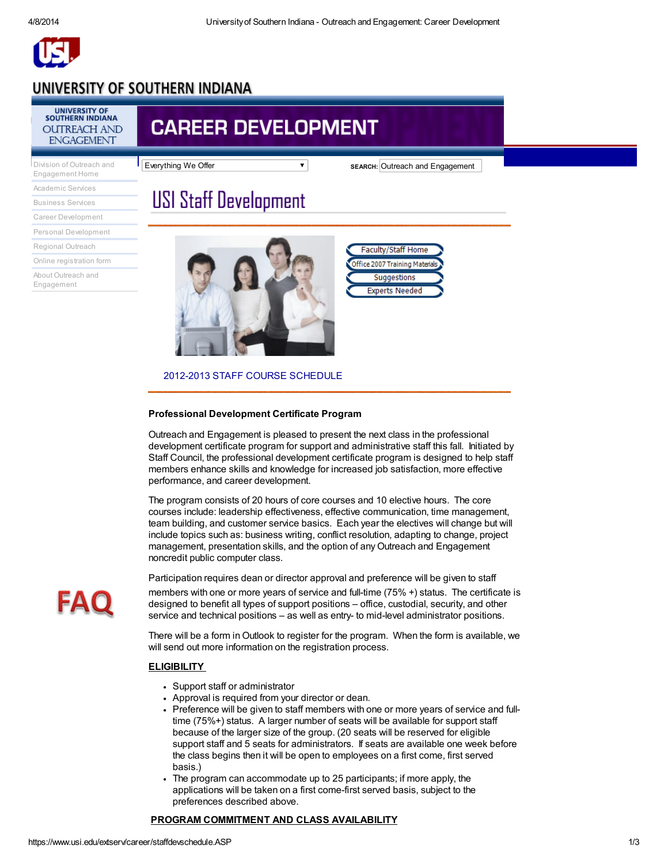

### UNIVERSITY OF SOUTHERN INDIANA

### UNIVERSITY OF<br>SOUTHERN INDIANA **OUTREACH AND ENGAGEMENT**

[Engagement](http://www.usi.edu/outreach/) Home Division of Outreach and [Academic](https://www.usi.edu/extserv/academic/index.asp) Services [Business](https://www.usi.edu/extserv/business/index.asp) Services Career [Development](https://www.usi.edu/extserv/career/index.asp) Personal [Development](http://www.usi.edu/extserv/continuingeducation.asp) Regional [Outreach](https://www.usi.edu/extserv/outreach/index.asp)

Online [registration](https://www.usi.edu/extserv/ssl/regform.ASP) form

About Outreach and [Engagement](https://www.usi.edu/extserv/aboutextendedservices.ASP)

## **CAREER DEVELOPMENT**

Everything We Offer **SEARCH:** Outreach and Engagement

# **USI Staff Development**



| <b>Faculty/Staff Home</b>      |  |  |  |
|--------------------------------|--|--|--|
| Office 2007 Training Materials |  |  |  |
| Suggestions                    |  |  |  |
| <b>Experts Needed</b>          |  |  |  |

#### 2012-2013 STAFF COURSE SCHEDULE

#### Professional Development Certificate Program

Outreach and Engagement is pleased to present the next class in the professional development certificate program for support and administrative staff this fall. Initiated by Staff Council, the professional development certificate program is designed to help staff members enhance skills and knowledge for increased job satisfaction, more effective performance, and career development.

The program consists of 20 hours of core courses and 10 elective hours. The core courses include: leadership effectiveness, effective communication, time management, team building, and customer service basics. Each year the electives will change but will include topics such as: business writing, conflict resolution, adapting to change, project management, presentation skills, and the option of any Outreach and Engagement noncredit public computer class.

Participation requires dean or director approval and preference will be given to staff members with one or more years of service and full-time (75% +) status. The certificate is designed to benefit all types of support positions – office, custodial, security, and other service and technical positions – as well as entry- to mid-level administrator positions.

There will be a form in Outlook to register for the program. When the form is available, we will send out more information on the registration process.

#### **ELIGIBILITY**

- Support staff or administrator
- Approval is required from your director or dean.
- Preference will be given to staff members with one or more years of service and fulltime (75%+) status. A larger number of seats will be available for support staff because of the larger size of the group. (20 seats will be reserved for eligible support staff and 5 seats for administrators. If seats are available one week before the class begins then it will be open to employees on a first come, first served basis.)
- The program can accommodate up to 25 participants; if more apply, the applications will be taken on a first come-first served basis, subject to the preferences described above.

#### PROGRAM COMMITMENT AND CLASS AVAILABILITY